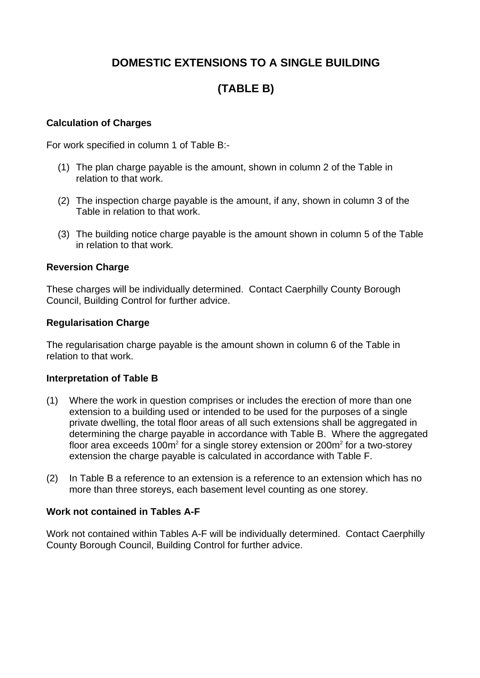# **DOMESTIC EXTENSIONS TO A SINGLE BUILDING**

# **(TABLE B)**

## **Calculation of Charges**

For work specified in column 1 of Table B:-

- (1) The plan charge payable is the amount, shown in column 2 of the Table in relation to that work.
- (2) The inspection charge payable is the amount, if any, shown in column 3 of the Table in relation to that work.
- (3) The building notice charge payable is the amount shown in column 5 of the Table in relation to that work.

#### **Reversion Charge**

These charges will be individually determined. Contact Caerphilly County Borough Council, Building Control for further advice.

#### **Regularisation Charge**

The regularisation charge payable is the amount shown in column 6 of the Table in relation to that work.

#### **Interpretation of Table B**

- (1) Where the work in question comprises or includes the erection of more than one extension to a building used or intended to be used for the purposes of a single private dwelling, the total floor areas of all such extensions shall be aggregated in determining the charge payable in accordance with Table B. Where the aggregated floor area exceeds 100 $m^2$  for a single storey extension or 200 $m^2$  for a two-storey extension the charge payable is calculated in accordance with Table F.
- (2) In Table B a reference to an extension is a reference to an extension which has no more than three storeys, each basement level counting as one storey.

#### **Work not contained in Tables A-F**

Work not contained within Tables A-F will be individually determined. Contact Caerphilly County Borough Council, Building Control for further advice.